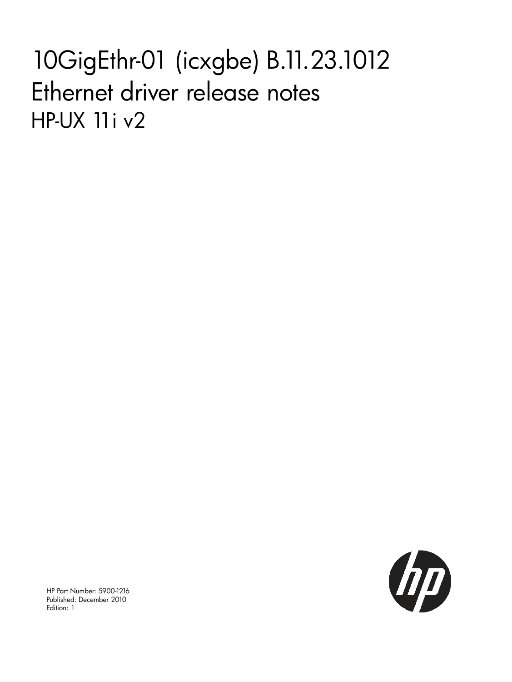# 10GigEthr-01 (icxgbe) B.11.23.1012 Ethernet driver release notes HP-UX 11i v2



HP Part Number: 5900-1216 Published: December 2010 Edition: 1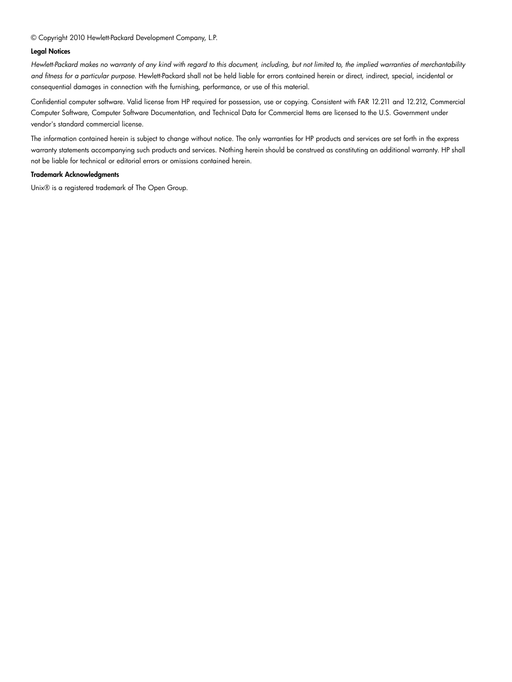© Copyright 2010 Hewlett-Packard Development Company, L.P.

#### Legal Notices

Hewlett-Packard makes no warranty of any kind with regard to this document, including, but not limited to, the implied warranties of merchantability *and fitness for a particular purpose.* Hewlett-Packard shall not be held liable for errors contained herein or direct, indirect, special, incidental or consequential damages in connection with the furnishing, performance, or use of this material.

Confidential computer software. Valid license from HP required for possession, use or copying. Consistent with FAR 12.211 and 12.212, Commercial Computer Software, Computer Software Documentation, and Technical Data for Commercial Items are licensed to the U.S. Government under vendor's standard commercial license.

The information contained herein is subject to change without notice. The only warranties for HP products and services are set forth in the express warranty statements accompanying such products and services. Nothing herein should be construed as constituting an additional warranty. HP shall not be liable for technical or editorial errors or omissions contained herein.

#### Trademark Acknowledgments

Unix® is a registered trademark of The Open Group.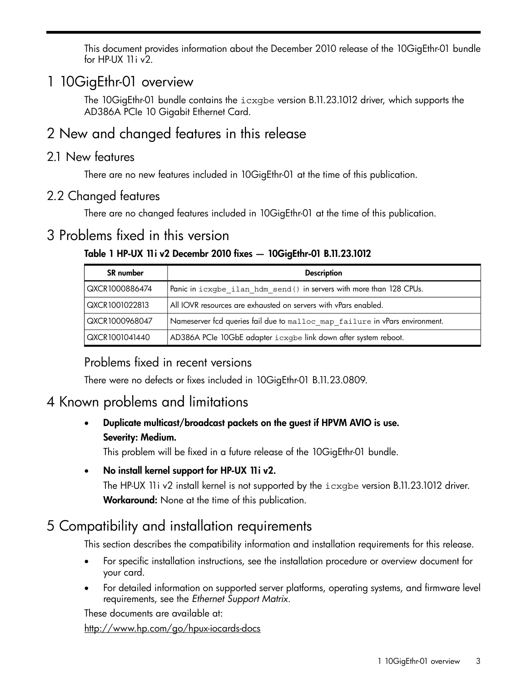This document provides information about the December 2010 release of the 10GigEthr-01 bundle for HP-UX 11i v2.

## 1 10GigEthr-01 overview

The 10GigEthr-01 bundle contains the icxgbe version B.11.23.1012 driver, which supports the AD386A PCIe 10 Gigabit Ethernet Card.

## 2 New and changed features in this release

#### 2.1 New features

There are no new features included in 10GigEthr-01 at the time of this publication.

### 2.2 Changed features

There are no changed features included in 10GigEthr-01 at the time of this publication.

## 3 Problems fixed in this version

#### Table 1 HP-UX 11i v2 Decembr 2010 fixes — 10GigEthr-01 B.11.23.1012

| <b>SR</b> number | <b>Description</b>                                                          |
|------------------|-----------------------------------------------------------------------------|
| QXCR1000886474   | Panic in icxgbe ilan hdm send () in servers with more than 128 CPUs.        |
| QXCR1001022813   | All IOVR resources are exhausted on servers with vPars enabled.             |
| QXCR1000968047   | Nameserver fcd queries fail due to malloc map failure in vPars environment. |
| QXCR1001041440   | AD386A PCIe 10GbE adapter i cxgbe link down after system reboot.            |

## Problems fixed in recent versions

There were no defects or fixes included in 10GigEthr-01 B.11.23.0809.

## 4 Known problems and limitations

• Duplicate multicast/broadcast packets on the guest if HPVM AVIO is use. Severity: Medium.

This problem will be fixed in a future release of the 10GigEthr-01 bundle.

• No install kernel support for HP-UX 11i v2.

The HP-UX 11i v2 install kernel is not supported by the icxgbe version B.11.23.1012 driver. Workaround: None at the time of this publication.

## 5 Compatibility and installation requirements

This section describes the compatibility information and installation requirements for this release.

- For specific installation instructions, see the installation procedure or overview document for your card.
- For detailed information on supported server platforms, operating systems, and firmware level requirements, see the *Ethernet Support Matrix*.

These documents are available at:

<http://www.hp.com/go/hpux-iocards-docs>